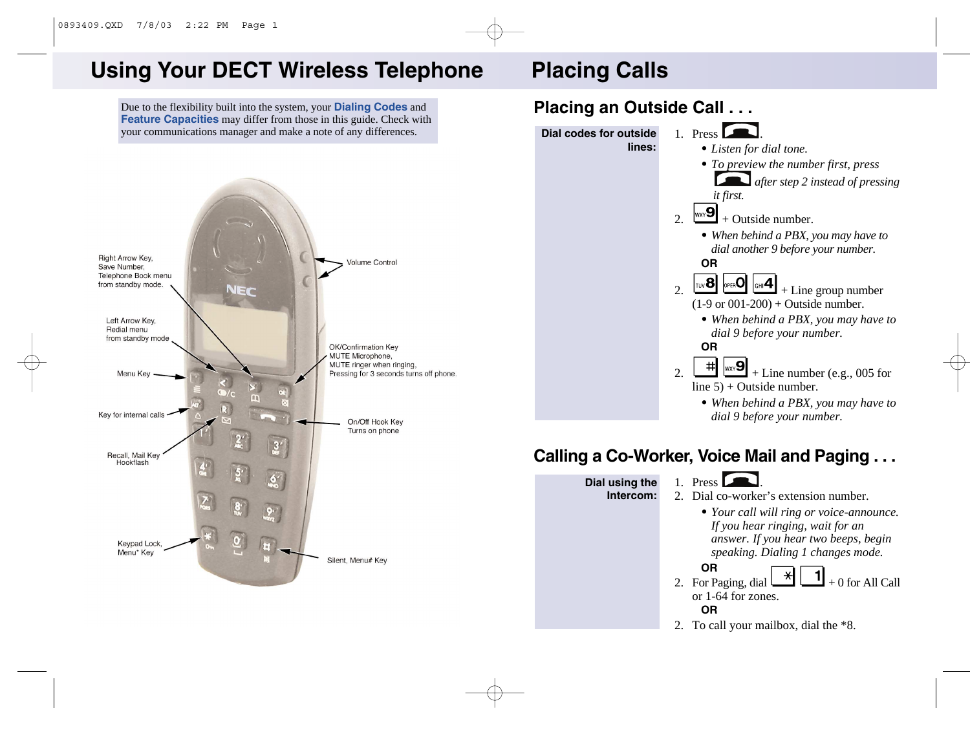# **Using Your DECT Wireless Telephone Placing Calls**

**Placing an Outside Call . . .** Due to the flexibility built into the system, your **Dialing Codes** and **Feature Capacities** may differ from those in this guide. Check with your communications manager and make a note of any differences. **Dial codes for outside**1. Press  $\Box$ **lines:***• Listen for dial tone. • To preview the number first, press after step 2 instead of pressing it first.* 2.  $\Box$  + Outside number. *• When behind a PBX, you may have to dial another 9 before your number.* Right Arrow Key. Volume Control **OR**Save Number. Telephone Book menu  $\frac{1}{2}$ .  $\frac{1}{2}$   $\frac{1}{2}$   $\frac{1}{2}$   $\frac{1}{2}$   $\frac{1}{2}$   $\frac{1}{2}$   $\frac{1}{2}$   $\frac{1}{2}$   $\frac{1}{2}$   $\frac{1}{2}$   $\frac{1}{2}$   $\frac{1}{2}$   $\frac{1}{2}$   $\frac{1}{2}$   $\frac{1}{2}$   $\frac{1}{2}$   $\frac{1}{2}$   $\frac{1}{2}$   $\frac{1}{2}$   $\frac{1}{2}$   $\frac{1}{2}$  from standby mode. **NEC**  $(1-9 \text{ or } 001-200) +$  Outside number. *• When behind a PBX, you may have to* Left Arrow Kev. Redial menu *dial 9 before your number.* from standby mode OK/Confirmation Kev **OR**MUTE Microphone, MUTE ringer when ringing. 2.  $\frac{+1}{2}$   $\frac{1}{2}$  + Line number (e.g., 005 for Menu Key Pressing for 3 seconds turns off phone. line 5) + Outside number.  $\mathbf{m}$ *• When behind a PBX, you may have to* Key for internal calls *dial 9 before your number.* On/Off Hook Kev Turns on phone  $3<sup>7</sup>$ **Calling a Co-Worker, Voice Mail and Paging . . .** Recall, Mail Key Hookflash  $6'$ 1. Press  $\Box$ **Dial using the Intercom:**2. Dial co-worker's extension number. *• Your call will ring or voice-announce. If you hear ringing, wait for an answer. If you hear two beeps, begin*  $\overline{0}$ **Kevpad Lock** *speaking. Dialing 1 changes mode.* Menu<sup>\*</sup> Key Silent, Menu# Key **OR** 2. For Paging, dial  $\boxed{\phantom{0}1}$   $\boxed{\phantom{0}1}$  + 0 for All Call or 1-64 for zones. **OR**2. To call your mailbox, dial the \*8.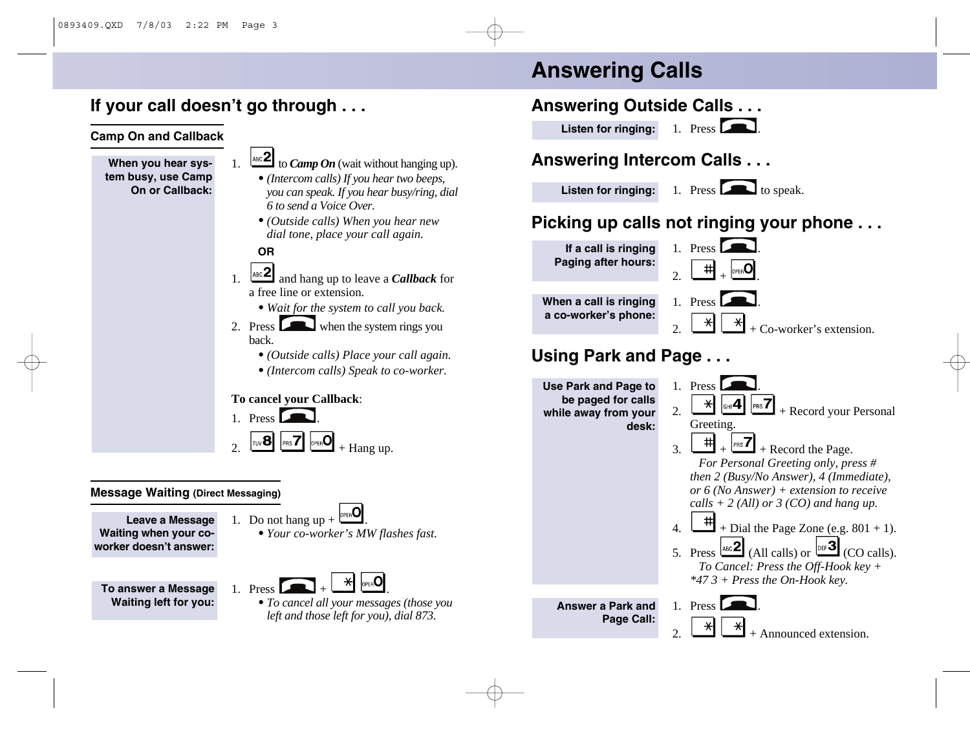# **If your call doesn't go through . . .**

#### **Camp On and Callback**

#### **When you hear system busy, use Camp On or Callback:**



- *•(Intercom calls) If you hear two beeps, you can speak. If you hear busy/ring, dial 6 to send a Voice Over.*
- *•(Outside calls) When you hear new dial tone, place your call again.*

#### **OR**

- 1. and hang up to leave a *Callback* for a free line or extension.
	- *• Wait for the system to call you back.*
- 2. Press when the system rings you back.
	- *• (Outside calls) Place your call again.*
	- *• (Intercom calls) Speak to co-worker.*

#### **To cancel your Callback**:

1. Press  $\blacksquare$  $\boxed{\text{two}}$   $\boxed{\text{ps}7}$   $\boxed{\text{pres}}$   $\boxed{\text{pres}}$  +  $\boxed{\text{Hang up}}$ .

#### **Message Waiting (Direct Messaging)**

**Leave a Message Waiting when your coworker doesn't answer:**

- **To answer a Message Waiting left for you:**
- 1. Do not hang  $up +$ 
	- *• Your co-worker's MW flashes fast.*
- 1. Press
	- *• To cancel all your messages (those you left and those left for you), dial 873.*

# **Answering Calls**

# **Answering Outside Calls . . .**

**Listen for ringing:**



## **Answering Intercom Calls . . .**

**Listen for ringing:**

1. Press  $\Box$  to speak.

# **Picking up calls not ringing your phone . . .**

1. Press .**If a call is ringing Paging after hours:**

**When a call is ringing a co-worker's phone:**



Co-worker's extension.

## **Using Park and Page . . .**

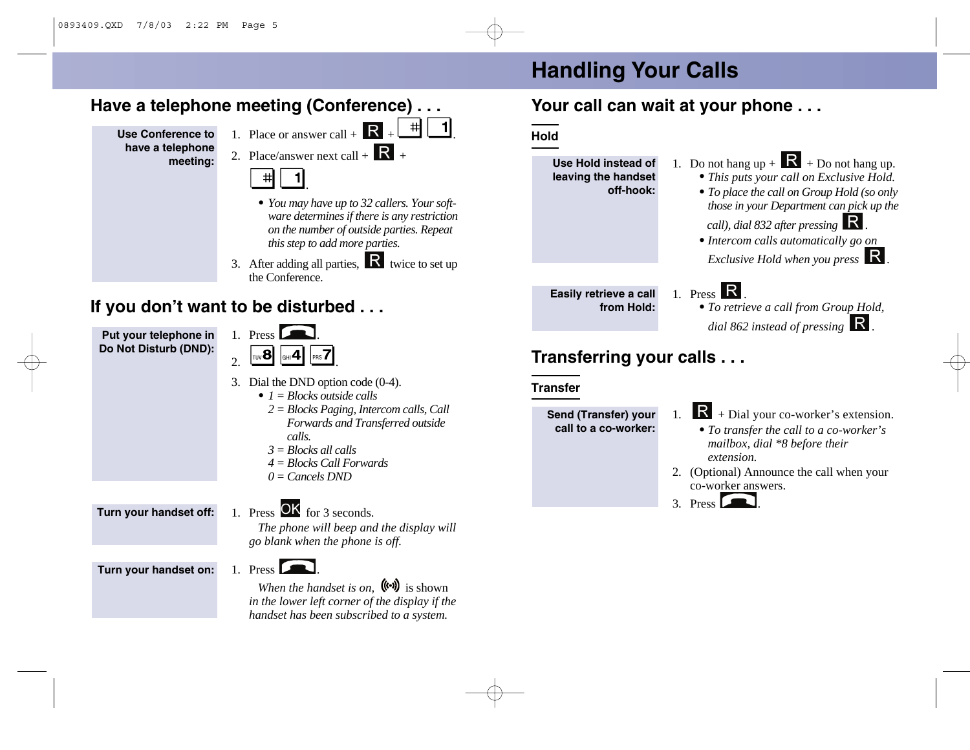

- 3. Dial the DND option code (0-4).
	- *1 = Blocks outside calls*
	- *2 = Blocks Paging, Intercom calls, Call Forwards and Transferred outside calls.*
	- *3 = Blocks all calls*
	- *4 = Blocks Call Forwards*
	- *0 = Cancels DND*

#### **Turn your handset off:**

### 1. Press  $\overrightarrow{OK}$  for 3 seconds.

1. Press L

*The phone will beep and the display will go blank when the phone is off.*

#### **Turn your handset on:**

*When the handset is on,*  $\left(\!\left(\!\left(\bullet\right)\!\right)\!\right)$  is shown *in the lower left corner of the display if the handset has been subscribed to a system.*

# **Handling Your Calls**

# **Your call can wait at your phone . . .**

**Hold**

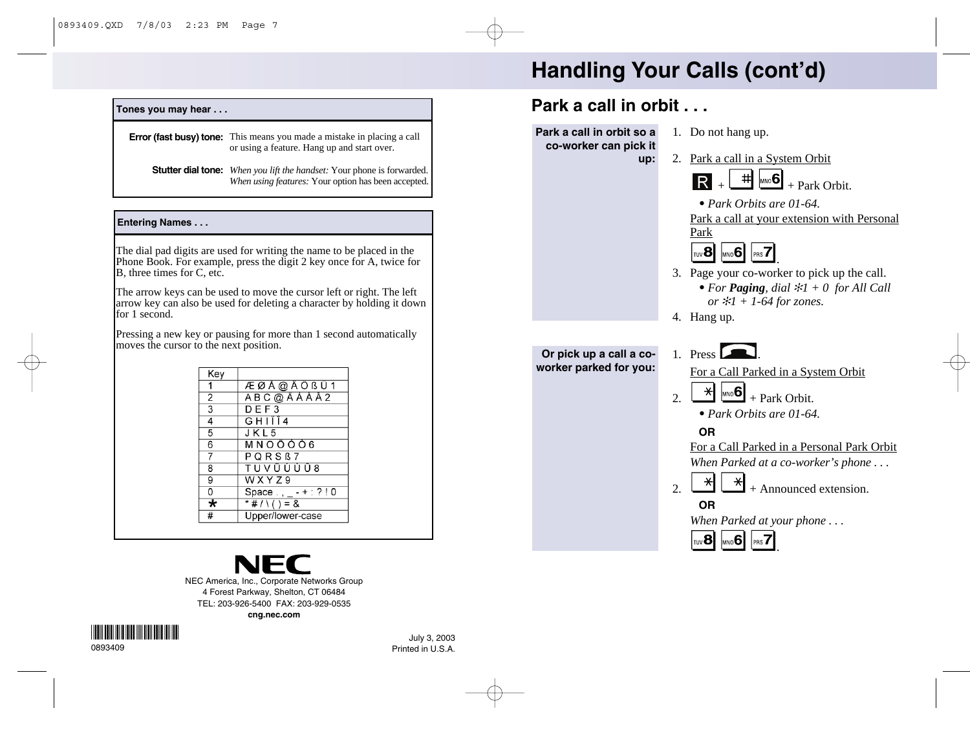

NEC America, Inc., Corporate Networks Group 4 Forest Parkway, Shelton, CT 06484 TEL: 203-926-5400 FAX: 203-929-0535 **cng.nec.com**

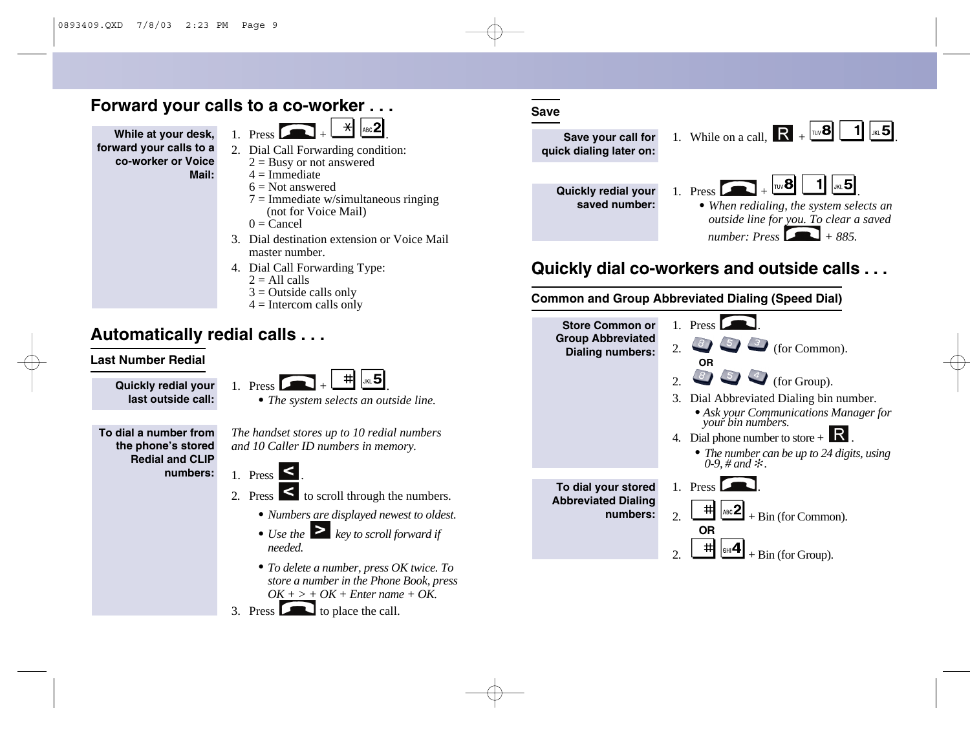## **Forward your calls to a co-worker . . .**



- $1.$  Press  $\begin{bmatrix} 1 \\ 1 \end{bmatrix} + \begin{bmatrix} 1 \\ 1 \end{bmatrix}$  .
- 2. Dial Call Forwarding condition:  $2 =$ Busy or not answered
	- $4 =$ Immediate
	- $6 = Not$  answered
	- $7 =$  Immediate w/simultaneous ringing (not for Voice Mail)
	- $0 =$ Cancel
- 3. Dial destination extension or Voice Mailmaster number.
- 4. Dial Call Forwarding Type:
	- $2 \equiv$  All calls
	- $3$  = Outside calls only
	- $4 =$ Intercom calls only

# **Automatically redial calls . . .**

#### **Last Number Redial**

**Quickly redial your last outside call:**



- **To dial a number fromthe phone's stored Redial and CLIP numbers:**
- *• The system selects an outside line.*

*The handset stores up to 10 redial numbers and 10 Caller ID numbers in memory.*



- 2. Press  $\leq$  to scroll through the numbers.
	- *• Numbers are displayed newest to oldest.*
	- Use the key to scroll forward if *needed.*
	- *• To delete a number, press OK twice. To store a number in the Phone Book, press*  $OK + > + OK + Enter$  name  $+ OK$ .
- $3.$  Press  $\Box$  to place the call.





# **Quickly dial co-workers and outside calls . . .**